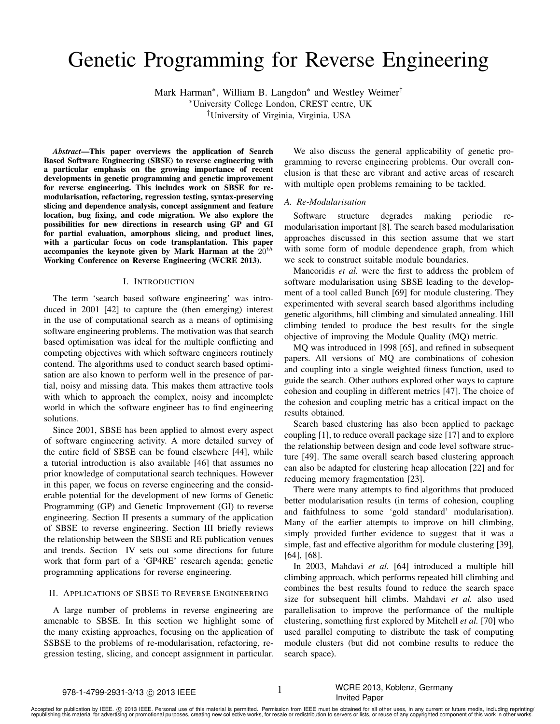# Genetic Programming for Reverse Engineering

Mark Harman<sup>∗</sup> , William B. Langdon<sup>∗</sup> and Westley Weimer†

<sup>∗</sup>University College London, CREST centre, UK

†University of Virginia, Virginia, USA

*Abstract*—This paper overviews the application of Search Based Software Engineering (SBSE) to reverse engineering with a particular emphasis on the growing importance of recent developments in genetic programming and genetic improvement for reverse engineering. This includes work on SBSE for remodularisation, refactoring, regression testing, syntax-preserving slicing and dependence analysis, concept assignment and feature location, bug fixing, and code migration. We also explore the possibilities for new directions in research using GP and GI for partial evaluation, amorphous slicing, and product lines, with a particular focus on code transplantation. This paper accompanies the keynote given by Mark Harman at the  $20^{t}$ Working Conference on Reverse Engineering (WCRE 2013).

#### I. INTRODUCTION

The term 'search based software engineering' was introduced in 2001 [42] to capture the (then emerging) interest in the use of computational search as a means of optimising software engineering problems. The motivation was that search based optimisation was ideal for the multiple conflicting and competing objectives with which software engineers routinely contend. The algorithms used to conduct search based optimisation are also known to perform well in the presence of partial, noisy and missing data. This makes them attractive tools with which to approach the complex, noisy and incomplete world in which the software engineer has to find engineering solutions.

Since 2001, SBSE has been applied to almost every aspect of software engineering activity. A more detailed survey of the entire field of SBSE can be found elsewhere [44], while a tutorial introduction is also available [46] that assumes no prior knowledge of computational search techniques. However in this paper, we focus on reverse engineering and the considerable potential for the development of new forms of Genetic Programming (GP) and Genetic Improvement (GI) to reverse engineering. Section II presents a summary of the application of SBSE to reverse engineering. Section III briefly reviews the relationship between the SBSE and RE publication venues and trends. Section IV sets out some directions for future work that form part of a 'GP4RE' research agenda; genetic programming applications for reverse engineering.

## II. APPLICATIONS OF SBSE TO REVERSE ENGINEERING

A large number of problems in reverse engineering are amenable to SBSE. In this section we highlight some of the many existing approaches, focusing on the application of SSBSE to the problems of re-modularisation, refactoring, regression testing, slicing, and concept assignment in particular.

We also discuss the general applicability of genetic programming to reverse engineering problems. Our overall conclusion is that these are vibrant and active areas of research with multiple open problems remaining to be tackled.

#### *A. Re-Modularisation*

Software structure degrades making periodic remodularisation important [8]. The search based modularisation approaches discussed in this section assume that we start with some form of module dependence graph, from which we seek to construct suitable module boundaries.

Mancoridis *et al.* were the first to address the problem of software modularisation using SBSE leading to the development of a tool called Bunch [69] for module clustering. They experimented with several search based algorithms including genetic algorithms, hill climbing and simulated annealing. Hill climbing tended to produce the best results for the single objective of improving the Module Quality (MQ) metric.

MQ was introduced in 1998 [65], and refined in subsequent papers. All versions of MQ are combinations of cohesion and coupling into a single weighted fitness function, used to guide the search. Other authors explored other ways to capture cohesion and coupling in different metrics [47]. The choice of the cohesion and coupling metric has a critical impact on the results obtained.

Search based clustering has also been applied to package coupling [1], to reduce overall package size [17] and to explore the relationship between design and code level software structure [49]. The same overall search based clustering approach can also be adapted for clustering heap allocation [22] and for reducing memory fragmentation [23].

There were many attempts to find algorithms that produced better modularisation results (in terms of cohesion, coupling and faithfulness to some 'gold standard' modularisation). Many of the earlier attempts to improve on hill climbing, simply provided further evidence to suggest that it was a simple, fast and effective algorithm for module clustering [39], [64], [68].

In 2003, Mahdavi *et al.* [64] introduced a multiple hill climbing approach, which performs repeated hill climbing and combines the best results found to reduce the search space size for subsequent hill climbs. Mahdavi *et al.* also used parallelisation to improve the performance of the multiple clustering, something first explored by Mitchell *et al.* [70] who used parallel computing to distribute the task of computing module clusters (but did not combine results to reduce the search space).

1

### 978-1-4799-2931-3/13 <sup>c</sup> 2013 IEEE WCRE 2013, Koblenz, Germany Invited Paper

Accepted for publication by IEEE. ⓒ 2013 IEEE. Personal use of this material is permitted. Permission from IEEE must be obtained for all other uses, in any current or future media, including reprinting/<br>republishing this m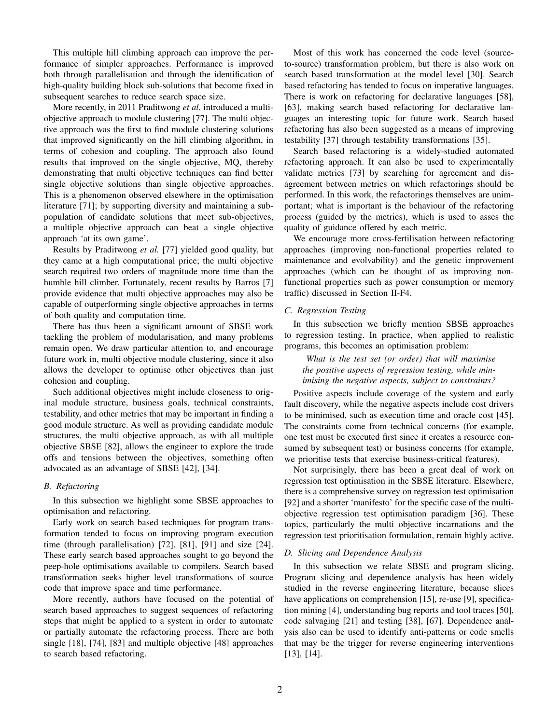This multiple hill climbing approach can improve the performance of simpler approaches. Performance is improved both through parallelisation and through the identification of high-quality building block sub-solutions that become fixed in subsequent searches to reduce search space size.

More recently, in 2011 Praditwong *et al.* introduced a multiobjective approach to module clustering [77]. The multi objective approach was the first to find module clustering solutions that improved significantly on the hill climbing algorithm, in terms of cohesion and coupling. The approach also found results that improved on the single objective, MQ, thereby demonstrating that multi objective techniques can find better single objective solutions than single objective approaches. This is a phenomenon observed elsewhere in the optimisation literature [71]; by supporting diversity and maintaining a subpopulation of candidate solutions that meet sub-objectives, a multiple objective approach can beat a single objective approach 'at its own game'.

Results by Praditwong *et al.* [77] yielded good quality, but they came at a high computational price; the multi objective search required two orders of magnitude more time than the humble hill climber. Fortunately, recent results by Barros [7] provide evidence that multi objective approaches may also be capable of outperforming single objective approaches in terms of both quality and computation time.

There has thus been a significant amount of SBSE work tackling the problem of modularisation, and many problems remain open. We draw particular attention to, and encourage future work in, multi objective module clustering, since it also allows the developer to optimise other objectives than just cohesion and coupling.

Such additional objectives might include closeness to original module structure, business goals, technical constraints, testability, and other metrics that may be important in finding a good module structure. As well as providing candidate module structures, the multi objective approach, as with all multiple objective SBSE [82], allows the engineer to explore the trade offs and tensions between the objectives, something often advocated as an advantage of SBSE [42], [34].

## *B. Refactoring*

In this subsection we highlight some SBSE approaches to optimisation and refactoring.

Early work on search based techniques for program transformation tended to focus on improving program execution time (through parallelisation) [72], [81], [91] and size [24]. These early search based approaches sought to go beyond the peep-hole optimisations available to compilers. Search based transformation seeks higher level transformations of source code that improve space and time performance.

More recently, authors have focused on the potential of search based approaches to suggest sequences of refactoring steps that might be applied to a system in order to automate or partially automate the refactoring process. There are both single [18], [74], [83] and multiple objective [48] approaches to search based refactoring.

Most of this work has concerned the code level (sourceto-source) transformation problem, but there is also work on search based transformation at the model level [30]. Search based refactoring has tended to focus on imperative languages. There is work on refactoring for declarative languages [58], [63], making search based refactoring for declarative languages an interesting topic for future work. Search based refactoring has also been suggested as a means of improving testability [37] through testability transformations [35].

Search based refactoring is a widely-studied automated refactoring approach. It can also be used to experimentally validate metrics [73] by searching for agreement and disagreement between metrics on which refactorings should be performed. In this work, the refactorings themselves are unimportant; what is important is the behaviour of the refactoring process (guided by the metrics), which is used to asses the quality of guidance offered by each metric.

We encourage more cross-fertilisation between refactoring approaches (improving non-functional properties related to maintenance and evolvability) and the genetic improvement approaches (which can be thought of as improving nonfunctional properties such as power consumption or memory traffic) discussed in Section II-F4.

#### *C. Regression Testing*

In this subsection we briefly mention SBSE approaches to regression testing. In practice, when applied to realistic programs, this becomes an optimisation problem:

# *What is the test set (or order) that will maximise the positive aspects of regression testing, while minimising the negative aspects, subject to constraints?*

Positive aspects include coverage of the system and early fault discovery, while the negative aspects include cost drivers to be minimised, such as execution time and oracle cost [45]. The constraints come from technical concerns (for example, one test must be executed first since it creates a resource consumed by subsequent test) or business concerns (for example, we prioritise tests that exercise business-critical features).

Not surprisingly, there has been a great deal of work on regression test optimisation in the SBSE literature. Elsewhere, there is a comprehensive survey on regression test optimisation [92] and a shorter 'manifesto' for the specific case of the multiobjective regression test optimisation paradigm [36]. These topics, particularly the multi objective incarnations and the regression test prioritisation formulation, remain highly active.

## *D. Slicing and Dependence Analysis*

In this subsection we relate SBSE and program slicing. Program slicing and dependence analysis has been widely studied in the reverse engineering literature, because slices have applications on comprehension [15], re-use [9], specification mining [4], understanding bug reports and tool traces [50], code salvaging [21] and testing [38], [67]. Dependence analysis also can be used to identify anti-patterns or code smells that may be the trigger for reverse engineering interventions [13], [14].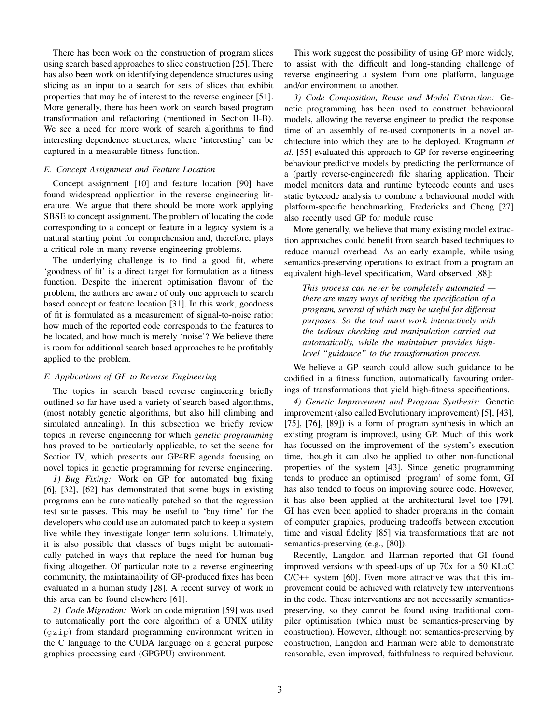There has been work on the construction of program slices using search based approaches to slice construction [25]. There has also been work on identifying dependence structures using slicing as an input to a search for sets of slices that exhibit properties that may be of interest to the reverse engineer [51]. More generally, there has been work on search based program transformation and refactoring (mentioned in Section II-B). We see a need for more work of search algorithms to find interesting dependence structures, where 'interesting' can be captured in a measurable fitness function.

#### *E. Concept Assignment and Feature Location*

Concept assignment [10] and feature location [90] have found widespread application in the reverse engineering literature. We argue that there should be more work applying SBSE to concept assignment. The problem of locating the code corresponding to a concept or feature in a legacy system is a natural starting point for comprehension and, therefore, plays a critical role in many reverse engineering problems.

The underlying challenge is to find a good fit, where 'goodness of fit' is a direct target for formulation as a fitness function. Despite the inherent optimisation flavour of the problem, the authors are aware of only one approach to search based concept or feature location [31]. In this work, goodness of fit is formulated as a measurement of signal-to-noise ratio: how much of the reported code corresponds to the features to be located, and how much is merely 'noise'? We believe there is room for additional search based approaches to be profitably applied to the problem.

#### *F. Applications of GP to Reverse Engineering*

The topics in search based reverse engineering briefly outlined so far have used a variety of search based algorithms, (most notably genetic algorithms, but also hill climbing and simulated annealing). In this subsection we briefly review topics in reverse engineering for which *genetic programming* has proved to be particularly applicable, to set the scene for Section IV, which presents our GP4RE agenda focusing on novel topics in genetic programming for reverse engineering.

*1) Bug Fixing:* Work on GP for automated bug fixing [6], [32], [62] has demonstrated that some bugs in existing programs can be automatically patched so that the regression test suite passes. This may be useful to 'buy time' for the developers who could use an automated patch to keep a system live while they investigate longer term solutions. Ultimately, it is also possible that classes of bugs might be automatically patched in ways that replace the need for human bug fixing altogether. Of particular note to a reverse engineering community, the maintainability of GP-produced fixes has been evaluated in a human study [28]. A recent survey of work in this area can be found elsewhere [61].

*2) Code Migration:* Work on code migration [59] was used to automatically port the core algorithm of a UNIX utility (gzip) from standard programming environment written in the C language to the CUDA language on a general purpose graphics processing card (GPGPU) environment.

This work suggest the possibility of using GP more widely, to assist with the difficult and long-standing challenge of reverse engineering a system from one platform, language and/or environment to another.

*3) Code Composition, Reuse and Model Extraction:* Genetic programming has been used to construct behavioural models, allowing the reverse engineer to predict the response time of an assembly of re-used components in a novel architecture into which they are to be deployed. Krogmann *et al.* [55] evaluated this approach to GP for reverse engineering behaviour predictive models by predicting the performance of a (partly reverse-engineered) file sharing application. Their model monitors data and runtime bytecode counts and uses static bytecode analysis to combine a behavioural model with platform-specific benchmarking. Fredericks and Cheng [27] also recently used GP for module reuse.

More generally, we believe that many existing model extraction approaches could benefit from search based techniques to reduce manual overhead. As an early example, while using semantics-preserving operations to extract from a program an equivalent high-level specification, Ward observed [88]:

*This process can never be completely automated there are many ways of writing the specification of a program, several of which may be useful for different purposes. So the tool must work interactively with the tedious checking and manipulation carried out automatically, while the maintainer provides highlevel "guidance" to the transformation process.*

We believe a GP search could allow such guidance to be codified in a fitness function, automatically favouring orderings of transformations that yield high-fitness specifications.

*4) Genetic Improvement and Program Synthesis:* Genetic improvement (also called Evolutionary improvement) [5], [43], [75], [76], [89]) is a form of program synthesis in which an existing program is improved, using GP. Much of this work has focussed on the improvement of the system's execution time, though it can also be applied to other non-functional properties of the system [43]. Since genetic programming tends to produce an optimised 'program' of some form, GI has also tended to focus on improving source code. However, it has also been applied at the architectural level too [79]. GI has even been applied to shader programs in the domain of computer graphics, producing tradeoffs between execution time and visual fidelity [85] via transformations that are not semantics-preserving (e.g., [80]).

Recently, Langdon and Harman reported that GI found improved versions with speed-ups of up 70x for a 50 KLoC C/C++ system [60]. Even more attractive was that this improvement could be achieved with relatively few interventions in the code. These interventions are not necessarily semanticspreserving, so they cannot be found using traditional compiler optimisation (which must be semantics-preserving by construction). However, although not semantics-preserving by construction, Langdon and Harman were able to demonstrate reasonable, even improved, faithfulness to required behaviour.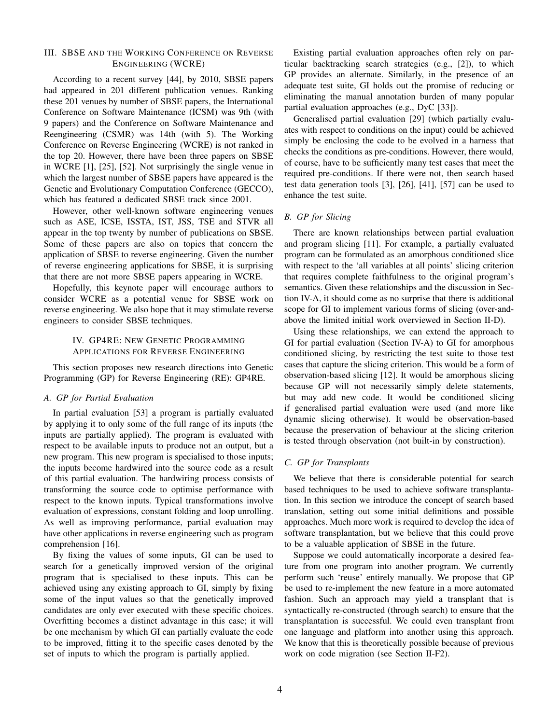# III. SBSE AND THE WORKING CONFERENCE ON REVERSE ENGINEERING (WCRE)

According to a recent survey [44], by 2010, SBSE papers had appeared in 201 different publication venues. Ranking these 201 venues by number of SBSE papers, the International Conference on Software Maintenance (ICSM) was 9th (with 9 papers) and the Conference on Software Maintenance and Reengineering (CSMR) was 14th (with 5). The Working Conference on Reverse Engineering (WCRE) is not ranked in the top 20. However, there have been three papers on SBSE in WCRE [1], [25], [52]. Not surprisingly the single venue in which the largest number of SBSE papers have appeared is the Genetic and Evolutionary Computation Conference (GECCO), which has featured a dedicated SBSE track since 2001.

However, other well-known software engineering venues such as ASE, ICSE, ISSTA, IST, JSS, TSE and STVR all appear in the top twenty by number of publications on SBSE. Some of these papers are also on topics that concern the application of SBSE to reverse engineering. Given the number of reverse engineering applications for SBSE, it is surprising that there are not more SBSE papers appearing in WCRE.

Hopefully, this keynote paper will encourage authors to consider WCRE as a potential venue for SBSE work on reverse engineering. We also hope that it may stimulate reverse engineers to consider SBSE techniques.

# IV. GP4RE: NEW GENETIC PROGRAMMING APPLICATIONS FOR REVERSE ENGINEERING

This section proposes new research directions into Genetic Programming (GP) for Reverse Engineering (RE): GP4RE.

## *A. GP for Partial Evaluation*

In partial evaluation [53] a program is partially evaluated by applying it to only some of the full range of its inputs (the inputs are partially applied). The program is evaluated with respect to be available inputs to produce not an output, but a new program. This new program is specialised to those inputs; the inputs become hardwired into the source code as a result of this partial evaluation. The hardwiring process consists of transforming the source code to optimise performance with respect to the known inputs. Typical transformations involve evaluation of expressions, constant folding and loop unrolling. As well as improving performance, partial evaluation may have other applications in reverse engineering such as program comprehension [16].

By fixing the values of some inputs, GI can be used to search for a genetically improved version of the original program that is specialised to these inputs. This can be achieved using any existing approach to GI, simply by fixing some of the input values so that the genetically improved candidates are only ever executed with these specific choices. Overfitting becomes a distinct advantage in this case; it will be one mechanism by which GI can partially evaluate the code to be improved, fitting it to the specific cases denoted by the set of inputs to which the program is partially applied.

Existing partial evaluation approaches often rely on particular backtracking search strategies (e.g., [2]), to which GP provides an alternate. Similarly, in the presence of an adequate test suite, GI holds out the promise of reducing or eliminating the manual annotation burden of many popular partial evaluation approaches (e.g., DyC [33]).

Generalised partial evaluation [29] (which partially evaluates with respect to conditions on the input) could be achieved simply be enclosing the code to be evolved in a harness that checks the conditions as pre-conditions. However, there would, of course, have to be sufficiently many test cases that meet the required pre-conditions. If there were not, then search based test data generation tools [3], [26], [41], [57] can be used to enhance the test suite.

## *B. GP for Slicing*

There are known relationships between partial evaluation and program slicing [11]. For example, a partially evaluated program can be formulated as an amorphous conditioned slice with respect to the 'all variables at all points' slicing criterion that requires complete faithfulness to the original program's semantics. Given these relationships and the discussion in Section IV-A, it should come as no surprise that there is additional scope for GI to implement various forms of slicing (over-andabove the limited initial work overviewed in Section II-D).

Using these relationships, we can extend the approach to GI for partial evaluation (Section IV-A) to GI for amorphous conditioned slicing, by restricting the test suite to those test cases that capture the slicing criterion. This would be a form of observation-based slicing [12]. It would be amorphous slicing because GP will not necessarily simply delete statements, but may add new code. It would be conditioned slicing if generalised partial evaluation were used (and more like dynamic slicing otherwise). It would be observation-based because the preservation of behaviour at the slicing criterion is tested through observation (not built-in by construction).

## *C. GP for Transplants*

We believe that there is considerable potential for search based techniques to be used to achieve software transplantation. In this section we introduce the concept of search based translation, setting out some initial definitions and possible approaches. Much more work is required to develop the idea of software transplantation, but we believe that this could prove to be a valuable application of SBSE in the future.

Suppose we could automatically incorporate a desired feature from one program into another program. We currently perform such 'reuse' entirely manually. We propose that GP be used to re-implement the new feature in a more automated fashion. Such an approach may yield a transplant that is syntactically re-constructed (through search) to ensure that the transplantation is successful. We could even transplant from one language and platform into another using this approach. We know that this is theoretically possible because of previous work on code migration (see Section II-F2).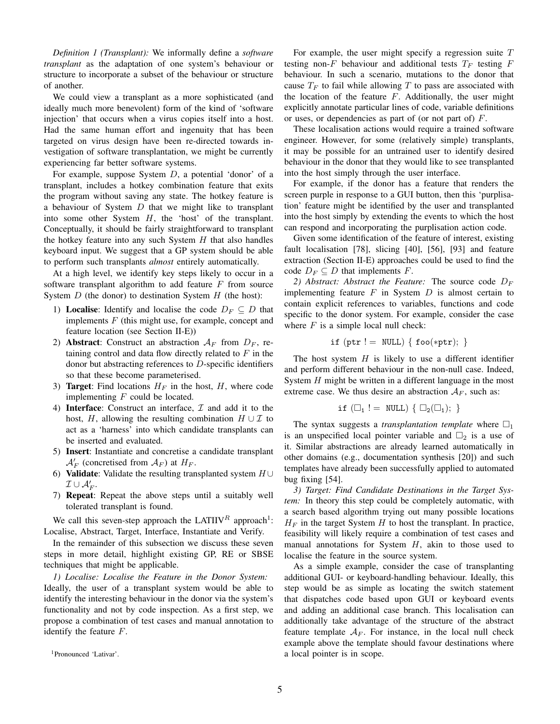*Definition 1 (Transplant):* We informally define a *software transplant* as the adaptation of one system's behaviour or structure to incorporate a subset of the behaviour or structure of another.

We could view a transplant as a more sophisticated (and ideally much more benevolent) form of the kind of 'software injection' that occurs when a virus copies itself into a host. Had the same human effort and ingenuity that has been targeted on virus design have been re-directed towards investigation of software transplantation, we might be currently experiencing far better software systems.

For example, suppose System  $D$ , a potential 'donor' of a transplant, includes a hotkey combination feature that exits the program without saving any state. The hotkey feature is a behaviour of System  $D$  that we might like to transplant into some other System  $H$ , the 'host' of the transplant. Conceptually, it should be fairly straightforward to transplant the hotkey feature into any such System  $H$  that also handles keyboard input. We suggest that a GP system should be able to perform such transplants *almost* entirely automatically.

At a high level, we identify key steps likely to occur in a software transplant algorithm to add feature  $F$  from source System  $D$  (the donor) to destination System  $H$  (the host):

- 1) Localise: Identify and localise the code  $D_F \subseteq D$  that implements  $F$  (this might use, for example, concept and feature location (see Section II-E))
- 2) **Abstract**: Construct an abstraction  $A_F$  from  $D_F$ , retaining control and data flow directly related to  $F$  in the donor but abstracting references to D-specific identifiers so that these become parameterised.
- 3) Target: Find locations  $H_F$  in the host,  $H$ , where code implementing  $F$  could be located.
- 4) Interface: Construct an interface,  $\mathcal I$  and add it to the host, H, allowing the resulting combination  $H \cup \mathcal{I}$  to act as a 'harness' into which candidate transplants can be inserted and evaluated.
- 5) Insert: Instantiate and concretise a candidate transplant  $\mathcal{A}'_F$  (concretised from  $\mathcal{A}_F$ ) at  $H_F$ .
- 6) Validate: Validate the resulting transplanted system  $H \cup$  $\mathcal{I}\cup\mathcal{A}_{F}^{\prime}.$
- 7) Repeat: Repeat the above steps until a suitably well tolerated transplant is found.

We call this seven-step approach the LATIIV<sup>R</sup> approach<sup>1</sup>: Localise, Abstract, Target, Interface, Instantiate and Verify.

In the remainder of this subsection we discuss these seven steps in more detail, highlight existing GP, RE or SBSE techniques that might be applicable.

*1) Localise: Localise the Feature in the Donor System:* Ideally, the user of a transplant system would be able to identify the interesting behaviour in the donor via the system's functionality and not by code inspection. As a first step, we propose a combination of test cases and manual annotation to identify the feature F.

<sup>1</sup>Pronounced 'Lativar'.

For example, the user might specify a regression suite  $T$ testing non-F behaviour and additional tests  $T_F$  testing F behaviour. In such a scenario, mutations to the donor that cause  $T_F$  to fail while allowing T to pass are associated with the location of the feature  $F$ . Additionally, the user might explicitly annotate particular lines of code, variable definitions or uses, or dependencies as part of (or not part of)  $F$ .

These localisation actions would require a trained software engineer. However, for some (relatively simple) transplants, it may be possible for an untrained user to identify desired behaviour in the donor that they would like to see transplanted into the host simply through the user interface.

For example, if the donor has a feature that renders the screen purple in response to a GUI button, then this 'purplisation' feature might be identified by the user and transplanted into the host simply by extending the events to which the host can respond and incorporating the purplisation action code.

Given some identification of the feature of interest, existing fault localisation [78], slicing [40], [56], [93] and feature extraction (Section II-E) approaches could be used to find the code  $D_F \subseteq D$  that implements F.

2) Abstract: Abstract the Feature: The source code  $D_F$ implementing feature  $F$  in System  $D$  is almost certain to contain explicit references to variables, functions and code specific to the donor system. For example, consider the case where  $F$  is a simple local null check:

$$
\texttt{if} \;(\texttt{ptr}\; != \; \texttt{NULL}) \; \{ \; \texttt{foo}(\texttt{*ptr}); \; \}
$$

The host system  $H$  is likely to use a different identifier and perform different behaviour in the non-null case. Indeed, System H might be written in a different language in the most extreme case. We thus desire an abstraction  $A_F$ , such as:

$$
\mathtt{if}\ (\Box_1\ !\ =\ NULL)\ \{\ \Box_2(\Box_1);\ \}
$$

The syntax suggests a *transplantation template* where  $\square_1$ is an unspecified local pointer variable and  $\Box_2$  is a use of it. Similar abstractions are already learned automatically in other domains (e.g., documentation synthesis [20]) and such templates have already been successfully applied to automated bug fixing [54].

*3) Target: Find Candidate Destinations in the Target System:* In theory this step could be completely automatic, with a search based algorithm trying out many possible locations  $H_F$  in the target System H to host the transplant. In practice, feasibility will likely require a combination of test cases and manual annotations for System  $H$ , akin to those used to localise the feature in the source system.

As a simple example, consider the case of transplanting additional GUI- or keyboard-handling behaviour. Ideally, this step would be as simple as locating the switch statement that dispatches code based upon GUI or keyboard events and adding an additional case branch. This localisation can additionally take advantage of the structure of the abstract feature template  $A_F$ . For instance, in the local null check example above the template should favour destinations where a local pointer is in scope.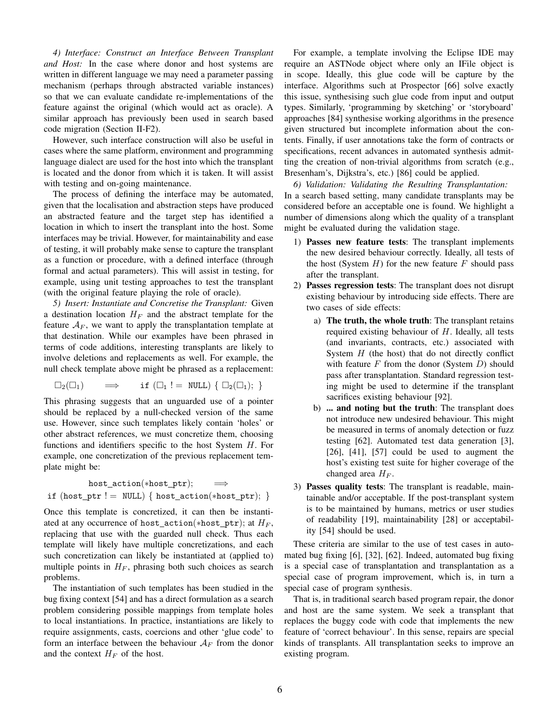*4) Interface: Construct an Interface Between Transplant and Host:* In the case where donor and host systems are written in different language we may need a parameter passing mechanism (perhaps through abstracted variable instances) so that we can evaluate candidate re-implementations of the feature against the original (which would act as oracle). A similar approach has previously been used in search based code migration (Section II-F2).

However, such interface construction will also be useful in cases where the same platform, environment and programming language dialect are used for the host into which the transplant is located and the donor from which it is taken. It will assist with testing and on-going maintenance.

The process of defining the interface may be automated, given that the localisation and abstraction steps have produced an abstracted feature and the target step has identified a location in which to insert the transplant into the host. Some interfaces may be trivial. However, for maintainability and ease of testing, it will probably make sense to capture the transplant as a function or procedure, with a defined interface (through formal and actual parameters). This will assist in testing, for example, using unit testing approaches to test the transplant (with the original feature playing the role of oracle).

*5) Insert: Instantiate and Concretise the Transplant:* Given a destination location  $H_F$  and the abstract template for the feature  $A_F$ , we want to apply the transplantation template at that destination. While our examples have been phrased in terms of code additions, interesting transplants are likely to involve deletions and replacements as well. For example, the null check template above might be phrased as a replacement:

$$
\square_2(\square_1) \qquad \Longrightarrow \qquad \text{if } (\square_1 \text{ } != \text{ NULL}) \text{ } \{\text{ } \square_2(\square_1); \text{ } \}\\
$$

This phrasing suggests that an unguarded use of a pointer should be replaced by a null-checked version of the same use. However, since such templates likely contain 'holes' or other abstract references, we must concretize them, choosing functions and identifiers specific to the host System H. For example, one concretization of the previous replacement template might be:

$$
\begin{array}{rcl}\n\text{host\_action(*host\_ptr}); & \implies \\
\text{if (host\_ptr != NULL) { host\_action(*host\_ptr)}; }\n\end{array}
$$

Once this template is concretized, it can then be instantiated at any occurrence of host\_action(\*host\_ptr); at  $H_F$ , replacing that use with the guarded null check. Thus each template will likely have multiple concretizations, and each such concretization can likely be instantiated at (applied to) multiple points in  $H_F$ , phrasing both such choices as search problems.

The instantiation of such templates has been studied in the bug fixing context [54] and has a direct formulation as a search problem considering possible mappings from template holes to local instantiations. In practice, instantiations are likely to require assignments, casts, coercions and other 'glue code' to form an interface between the behaviour  $A_F$  from the donor and the context  $H_F$  of the host.

For example, a template involving the Eclipse IDE may require an ASTNode object where only an IFile object is in scope. Ideally, this glue code will be capture by the interface. Algorithms such at Prospector [66] solve exactly this issue, synthesising such glue code from input and output types. Similarly, 'programming by sketching' or 'storyboard' approaches [84] synthesise working algorithms in the presence given structured but incomplete information about the contents. Finally, if user annotations take the form of contracts or specifications, recent advances in automated synthesis admitting the creation of non-trivial algorithms from scratch (e.g., Bresenham's, Dijkstra's, etc.) [86] could be applied.

*6) Validation: Validating the Resulting Transplantation:* In a search based setting, many candidate transplants may be considered before an acceptable one is found. We highlight a number of dimensions along which the quality of a transplant might be evaluated during the validation stage.

- 1) Passes new feature tests: The transplant implements the new desired behaviour correctly. Ideally, all tests of the host (System  $H$ ) for the new feature  $F$  should pass after the transplant.
- 2) Passes regression tests: The transplant does not disrupt existing behaviour by introducing side effects. There are two cases of side effects:
	- a) The truth, the whole truth: The transplant retains required existing behaviour of  $H$ . Ideally, all tests (and invariants, contracts, etc.) associated with System  $H$  (the host) that do not directly conflict with feature  $F$  from the donor (System  $D$ ) should pass after transplantation. Standard regression testing might be used to determine if the transplant sacrifices existing behaviour [92].
	- b) ... and noting but the truth: The transplant does not introduce new undesired behaviour. This might be measured in terms of anomaly detection or fuzz testing [62]. Automated test data generation [3],  $[26]$ ,  $[41]$ ,  $[57]$  could be used to augment the host's existing test suite for higher coverage of the changed area  $H_F$ .
- 3) Passes quality tests: The transplant is readable, maintainable and/or acceptable. If the post-transplant system is to be maintained by humans, metrics or user studies of readability [19], maintainability [28] or acceptability [54] should be used.

These criteria are similar to the use of test cases in automated bug fixing [6], [32], [62]. Indeed, automated bug fixing is a special case of transplantation and transplantation as a special case of program improvement, which is, in turn a special case of program synthesis.

That is, in traditional search based program repair, the donor and host are the same system. We seek a transplant that replaces the buggy code with code that implements the new feature of 'correct behaviour'. In this sense, repairs are special kinds of transplants. All transplantation seeks to improve an existing program.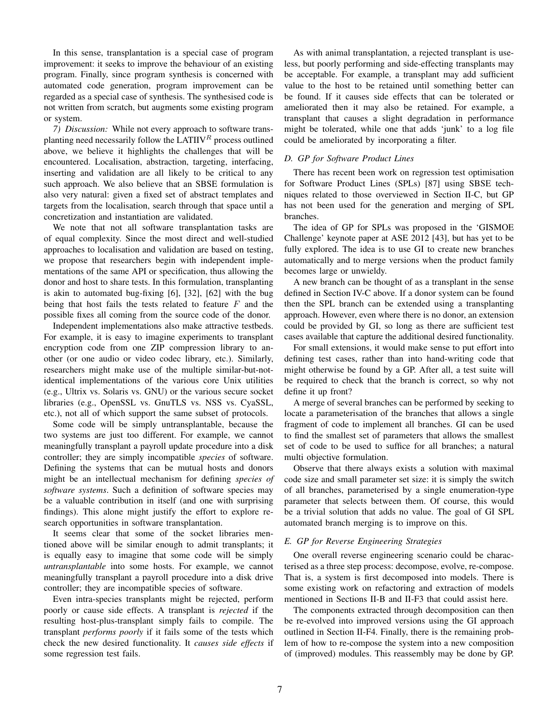In this sense, transplantation is a special case of program improvement: it seeks to improve the behaviour of an existing program. Finally, since program synthesis is concerned with automated code generation, program improvement can be regarded as a special case of synthesis. The synthesised code is not written from scratch, but augments some existing program or system.

*7) Discussion:* While not every approach to software transplanting need necessarily follow the LATIIV $<sup>R</sup>$  process outlined</sup> above, we believe it highlights the challenges that will be encountered. Localisation, abstraction, targeting, interfacing, inserting and validation are all likely to be critical to any such approach. We also believe that an SBSE formulation is also very natural: given a fixed set of abstract templates and targets from the localisation, search through that space until a concretization and instantiation are validated.

We note that not all software transplantation tasks are of equal complexity. Since the most direct and well-studied approaches to localisation and validation are based on testing, we propose that researchers begin with independent implementations of the same API or specification, thus allowing the donor and host to share tests. In this formulation, transplanting is akin to automated bug-fixing [6], [32], [62] with the bug being that host fails the tests related to feature  $F$  and the possible fixes all coming from the source code of the donor.

Independent implementations also make attractive testbeds. For example, it is easy to imagine experiments to transplant encryption code from one ZIP compression library to another (or one audio or video codec library, etc.). Similarly, researchers might make use of the multiple similar-but-notidentical implementations of the various core Unix utilities (e.g., Ultrix vs. Solaris vs. GNU) or the various secure socket libraries (e.g., OpenSSL vs. GnuTLS vs. NSS vs. CyaSSL, etc.), not all of which support the same subset of protocols.

Some code will be simply untransplantable, because the two systems are just too different. For example, we cannot meaningfully transplant a payroll update procedure into a disk controller; they are simply incompatible *species* of software. Defining the systems that can be mutual hosts and donors might be an intellectual mechanism for defining *species of software systems*. Such a definition of software species may be a valuable contribution in itself (and one with surprising findings). This alone might justify the effort to explore research opportunities in software transplantation.

It seems clear that some of the socket libraries mentioned above will be similar enough to admit transplants; it is equally easy to imagine that some code will be simply *untransplantable* into some hosts. For example, we cannot meaningfully transplant a payroll procedure into a disk drive controller; they are incompatible species of software.

Even intra-species transplants might be rejected, perform poorly or cause side effects. A transplant is *rejected* if the resulting host-plus-transplant simply fails to compile. The transplant *performs poorly* if it fails some of the tests which check the new desired functionality. It *causes side effects* if some regression test fails.

As with animal transplantation, a rejected transplant is useless, but poorly performing and side-effecting transplants may be acceptable. For example, a transplant may add sufficient value to the host to be retained until something better can be found. If it causes side effects that can be tolerated or ameliorated then it may also be retained. For example, a transplant that causes a slight degradation in performance might be tolerated, while one that adds 'junk' to a log file could be ameliorated by incorporating a filter.

#### *D. GP for Software Product Lines*

There has recent been work on regression test optimisation for Software Product Lines (SPLs) [87] using SBSE techniques related to those overviewed in Section II-C, but GP has not been used for the generation and merging of SPL branches.

The idea of GP for SPLs was proposed in the 'GISMOE Challenge' keynote paper at ASE 2012 [43], but has yet to be fully explored. The idea is to use GI to create new branches automatically and to merge versions when the product family becomes large or unwieldy.

A new branch can be thought of as a transplant in the sense defined in Section IV-C above. If a donor system can be found then the SPL branch can be extended using a transplanting approach. However, even where there is no donor, an extension could be provided by GI, so long as there are sufficient test cases available that capture the additional desired functionality.

For small extensions, it would make sense to put effort into defining test cases, rather than into hand-writing code that might otherwise be found by a GP. After all, a test suite will be required to check that the branch is correct, so why not define it up front?

A merge of several branches can be performed by seeking to locate a parameterisation of the branches that allows a single fragment of code to implement all branches. GI can be used to find the smallest set of parameters that allows the smallest set of code to be used to suffice for all branches; a natural multi objective formulation.

Observe that there always exists a solution with maximal code size and small parameter set size: it is simply the switch of all branches, parameterised by a single enumeration-type parameter that selects between them. Of course, this would be a trivial solution that adds no value. The goal of GI SPL automated branch merging is to improve on this.

## *E. GP for Reverse Engineering Strategies*

One overall reverse engineering scenario could be characterised as a three step process: decompose, evolve, re-compose. That is, a system is first decomposed into models. There is some existing work on refactoring and extraction of models mentioned in Sections II-B and II-F3 that could assist here.

The components extracted through decomposition can then be re-evolved into improved versions using the GI approach outlined in Section II-F4. Finally, there is the remaining problem of how to re-compose the system into a new composition of (improved) modules. This reassembly may be done by GP.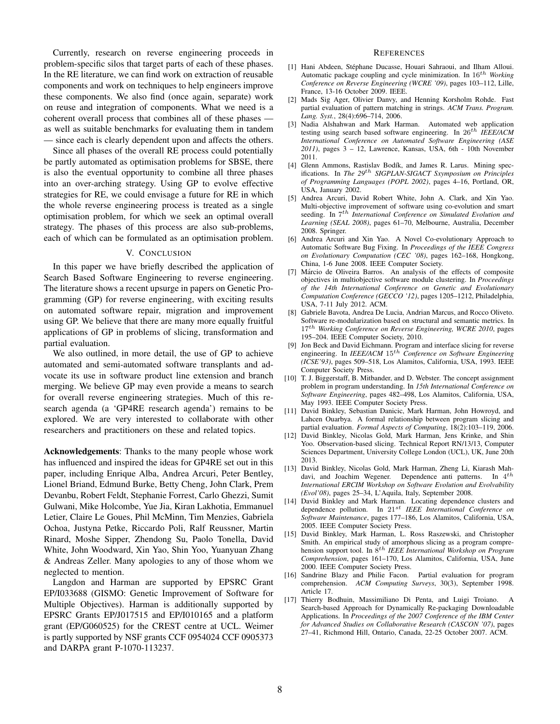Currently, research on reverse engineering proceeds in problem-specific silos that target parts of each of these phases. In the RE literature, we can find work on extraction of reusable components and work on techniques to help engineers improve these components. We also find (once again, separate) work on reuse and integration of components. What we need is a coherent overall process that combines all of these phases as well as suitable benchmarks for evaluating them in tandem — since each is clearly dependent upon and affects the others.

Since all phases of the overall RE process could potentially be partly automated as optimisation problems for SBSE, there is also the eventual opportunity to combine all three phases into an over-arching strategy. Using GP to evolve effective strategies for RE, we could envisage a future for RE in which the whole reverse engineering process is treated as a single optimisation problem, for which we seek an optimal overall strategy. The phases of this process are also sub-problems, each of which can be formulated as an optimisation problem.

#### V. CONCLUSION

In this paper we have briefly described the application of Search Based Software Engineering to reverse engineering. The literature shows a recent upsurge in papers on Genetic Programming (GP) for reverse engineering, with exciting results on automated software repair, migration and improvement using GP. We believe that there are many more equally fruitful applications of GP in problems of slicing, transformation and partial evaluation.

We also outlined, in more detail, the use of GP to achieve automated and semi-automated software transplants and advocate its use in software product line extension and branch merging. We believe GP may even provide a means to search for overall reverse engineering strategies. Much of this research agenda (a 'GP4RE research agenda') remains to be explored. We are very interested to collaborate with other researchers and practitioners on these and related topics.

Acknowledgements: Thanks to the many people whose work has influenced and inspired the ideas for GP4RE set out in this paper, including Enrique Alba, Andrea Arcuri, Peter Bentley, Lionel Briand, Edmund Burke, Betty Cheng, John Clark, Prem Devanbu, Robert Feldt, Stephanie Forrest, Carlo Ghezzi, Sumit Gulwani, Mike Holcombe, Yue Jia, Kiran Lakhotia, Emmanuel Letier, Claire Le Goues, Phil McMinn, Tim Menzies, Gabriela Ochoa, Justyna Petke, Riccardo Poli, Ralf Reussner, Martin Rinard, Moshe Sipper, Zhendong Su, Paolo Tonella, David White, John Woodward, Xin Yao, Shin Yoo, Yuanyuan Zhang & Andreas Zeller. Many apologies to any of those whom we neglected to mention.

Langdon and Harman are supported by EPSRC Grant EP/I033688 (GISMO: Genetic Improvement of Software for Multiple Objectives). Harman is additionally supported by EPSRC Grants EP/J017515 and EP/I010165 and a platform grant (EP/G060525) for the CREST centre at UCL. Weimer is partly supported by NSF grants CCF 0954024 CCF 0905373 and DARPA grant P-1070-113237.

#### **REFERENCES**

- [1] Hani Abdeen, Stéphane Ducasse, Houari Sahraoui, and Ilham Alloui. Automatic package coupling and cycle minimization. In 16<sup>th</sup> *Working Conference on Reverse Engineering (WCRE '09)*, pages 103–112, Lille, France, 13-16 October 2009. IEEE.
- [2] Mads Sig Ager, Olivier Danvy, and Henning Korsholm Rohde. Fast partial evaluation of pattern matching in strings. *ACM Trans. Program. Lang. Syst.*, 28(4):696–714, 2006.
- [3] Nadia Alshahwan and Mark Harman. Automated web application testing using search based software engineering. In 26th *IEEE/ACM International Conference on Automated Software Engineering (ASE 2011)*, pages 3 – 12, Lawrence, Kansas, USA, 6th - 10th November 2011.
- [4] Glenn Ammons, Rastislav Bodík, and James R. Larus. Mining specifications. In *The 29*th *SIGPLAN-SIGACT Sxymposium on Principles of Programming Languages (POPL 2002)*, pages 4–16, Portland, OR, USA, January 2002.
- [5] Andrea Arcuri, David Robert White, John A. Clark, and Xin Yao. Multi-objective improvement of software using co-evolution and smart seeding. In 7<sup>th</sup> International Conference on Simulated Evolution and *Learning (SEAL 2008)*, pages 61–70, Melbourne, Australia, December 2008. Springer.
- [6] Andrea Arcuri and Xin Yao. A Novel Co-evolutionary Approach to Automatic Software Bug Fixing. In *Proceedings of the IEEE Congress on Evolutionary Computation (CEC '08)*, pages 162–168, Hongkong, China, 1-6 June 2008. IEEE Computer Society.
- [7] Márcio de Oliveira Barros. An analysis of the effects of composite objectives in multiobjective software module clustering. In *Proceedings of the 14th International Conference on Genetic and Evolutionary Computation Conference (GECCO '12)*, pages 1205–1212, Philadelphia, USA, 7-11 July 2012. ACM.
- [8] Gabriele Bavota, Andrea De Lucia, Andrian Marcus, and Rocco Oliveto. Software re-modularization based on structural and semantic metrics. In 17th *Working Conference on Reverse Engineering, WCRE 2010*, pages 195–204. IEEE Computer Society, 2010.
- [9] Jon Beck and David Eichmann. Program and interface slicing for reverse engineering. In *IEEE/ACM* 15th *Conference on Software Engineering (ICSE'93)*, pages 509–518, Los Alamitos, California, USA, 1993. IEEE Computer Society Press.
- [10] T. J. Biggerstaff, B. Mitbander, and D. Webster. The concept assignment problem in program understanding. In *15th International Conference on Software Engineering*, pages 482–498, Los Alamitos, California, USA, May 1993. IEEE Computer Society Press.
- [11] David Binkley, Sebastian Danicic, Mark Harman, John Howroyd, and Lahcen Ouarbya. A formal relationship between program slicing and partial evaluation. *Formal Aspects of Computing*, 18(2):103–119, 2006.
- [12] David Binkley, Nicolas Gold, Mark Harman, Jens Krinke, and Shin Yoo. Observation-based slicing. Technical Report RN/13/13, Computer Sciences Department, University College London (UCL), UK, June 20th 2013.
- [13] David Binkley, Nicolas Gold, Mark Harman, Zheng Li, Kiarash Mahdavi, and Joachim Wegener. Dependence anti patterns. In  $4^{th}$ *International ERCIM Workshop on Software Evolution and Evolvability (Evol'08)*, pages 25–34, L'Aquila, Italy, September 2008.
- [14] David Binkley and Mark Harman. Locating dependence clusters and dependence pollution. In 21st *IEEE International Conference on Software Maintenance*, pages 177–186, Los Alamitos, California, USA, 2005. IEEE Computer Society Press.
- [15] David Binkley, Mark Harman, L. Ross Raszewski, and Christopher Smith. An empirical study of amorphous slicing as a program comprehension support tool. In 8 th *IEEE International Workshop on Program Comprehension*, pages 161–170, Los Alamitos, California, USA, June 2000. IEEE Computer Society Press.
- [16] Sandrine Blazy and Philie Facon. Partial evaluation for program comprehension. *ACM Computing Surveys*, 30(3), September 1998. Article 17.
- [17] Thierry Bodhuin, Massimiliano Di Penta, and Luigi Troiano. A Search-based Approach for Dynamically Re-packaging Downloadable Applications. In *Proceedings of the 2007 Conference of the IBM Center for Advanced Studies on Collaborative Research (CASCON '07)*, pages 27–41, Richmond Hill, Ontario, Canada, 22-25 October 2007. ACM.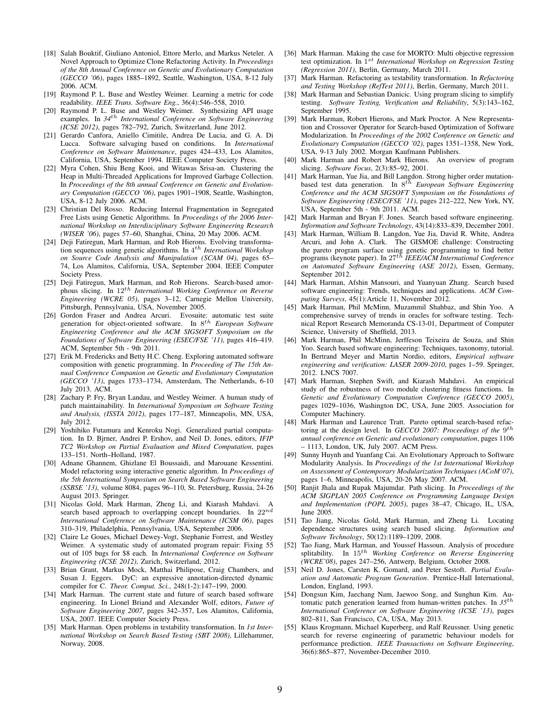- [18] Salah Bouktif, Giuliano Antoniol, Ettore Merlo, and Markus Neteler. A Novel Approach to Optimize Clone Refactoring Activity. In *Proceedings of the 8th Annual Conference on Genetic and Evolutionary Computation (GECCO '06)*, pages 1885–1892, Seattle, Washington, USA, 8-12 July 2006. ACM.
- [19] Raymond P. L. Buse and Westley Weimer. Learning a metric for code readability. *IEEE Trans. Software Eng.*, 36(4):546–558, 2010.
- [20] Raymond P. L. Buse and Westley Weimer. Synthesizing API usage examples. In *34*th *International Conference on Software Engineering (ICSE 2012)*, pages 782–792, Zurich, Switzerland, June 2012.
- [21] Gerardo Canfora, Aniello Cimitile, Andrea De Lucia, and G. A. Di Lucca. Software salvaging based on conditions. In *International Conference on Software Maintenance*, pages 424–433, Los Alamitos, California, USA, September 1994. IEEE Computer Society Press.
- [22] Myra Cohen, Shiu Beng Kooi, and Witawas Srisa-an. Clustering the Heap in Multi-Threaded Applications for Improved Garbage Collection. In *Proceedings of the 8th annual Conference on Genetic and Evolutionary Computation (GECCO '06)*, pages 1901–1908, Seattle, Washington, USA, 8-12 July 2006. ACM.
- [23] Christian Del Rosso. Reducing Internal Fragmentation in Segregated Free Lists using Genetic Algorithms. In *Proceedings of the 2006 International Workshop on Interdisciplinary Software Engineering Research (WISER '06)*, pages 57–60, Shanghai, China, 20 May 2006. ACM.
- [24] Deji Fatiregun, Mark Harman, and Rob Hierons. Evolving transformation sequences using genetic algorithms. In 4 th *International Workshop on Source Code Analysis and Manipulation (SCAM 04)*, pages 65– 74, Los Alamitos, California, USA, September 2004. IEEE Computer Society Press.
- [25] Deji Fatiregun, Mark Harman, and Rob Hierons. Search-based amorphous slicing. In 12th *International Working Conference on Reverse Engineering (WCRE 05)*, pages 3–12, Carnegie Mellon University, Pittsburgh, Pennsylvania, USA, November 2005.
- [26] Gordon Fraser and Andrea Arcuri. Evosuite: automatic test suite generation for object-oriented software. In 8<sup>th</sup> *European Software Engineering Conference and the ACM SIGSOFT Symposium on the Foundations of Software Engineering (ESEC/FSE '11)*, pages 416–419. ACM, September 5th - 9th 2011.
- [27] Erik M. Fredericks and Betty H.C. Cheng. Exploring automated software composition with genetic programming. In *Proceeding of The 15th Annual Conference Companion on Genetic and Evolutionary Computation (GECCO '13)*, pages 1733–1734, Amsterdam, The Netherlands, 6-10 July 2013. ACM.
- [28] Zachary P. Fry, Bryan Landau, and Westley Weimer. A human study of patch maintainability. In *International Symposium on Software Testing and Analysis, (ISSTA 2012)*, pages 177–187, Minneapolis, MN, USA, July 2012.
- [29] Yoshihiko Futamura and Kenroku Nogi. Generalized partial computation. In D. Bjrner, Andrei P. Ershov, and Neil D. Jones, editors, *IFIP TC2 Workshop on Partial Evaluation and Mixed Computation*, pages 133–151. North–Holland, 1987.
- [30] Adnane Ghannem, Ghizlane El Boussaidi, and Marouane Kessentini. Model refactoring using interactive genetic algorithm. In *Proceedings of the 5th International Symposium on Search Based Software Engineering (SSBSE '13)*, volume 8084, pages 96–110, St. Petersburg, Russia, 24-26 August 2013. Springer.
- [31] Nicolas Gold, Mark Harman, Zheng Li, and Kiarash Mahdavi. search based approach to overlapping concept boundaries. In  $22^{nd}$ *International Conference on Software Maintenance (ICSM 06)*, pages 310–319, Philadelphia, Pennsylvania, USA, September 2006.
- [32] Claire Le Goues, Michael Dewey-Vogt, Stephanie Forrest, and Westley Weimer. A systematic study of automated program repair: Fixing 55 out of 105 bugs for \$8 each. In *International Conference on Software Engineering (ICSE 2012)*, Zurich, Switzerland, 2012.
- [33] Brian Grant, Markus Mock, Matthai Philipose, Craig Chambers, and Susan J. Eggers. DyC: an expressive annotation-directed dynamic compiler for C. *Theor. Comput. Sci.*, 248(1-2):147–199, 2000.
- [34] Mark Harman. The current state and future of search based software engineering. In Lionel Briand and Alexander Wolf, editors, *Future of Software Engineering 2007*, pages 342–357, Los Alamitos, California, USA, 2007. IEEE Computer Society Press.
- [35] Mark Harman. Open problems in testability transformation. In *1st International Workshop on Search Based Testing (SBT 2008)*, Lillehammer, Norway, 2008.
- [36] Mark Harman. Making the case for MORTO: Multi objective regression test optimization. In 1 st *International Workshop on Regression Testing (Regression 2011)*, Berlin, Germany, March 2011.
- [37] Mark Harman. Refactoring as testability transformation. In *Refactoring and Testing Workshop (RefTest 2011)*, Berlin, Germany, March 2011.
- [38] Mark Harman and Sebastian Danicic. Using program slicing to simplify testing. *Software Testing, Verification and Reliability*, 5(3):143–162, September 1995.
- [39] Mark Harman, Robert Hierons, and Mark Proctor. A New Representation and Crossover Operator for Search-based Optimization of Software Modularization. In *Proceedings of the 2002 Conference on Genetic and Evolutionary Computation (GECCO '02)*, pages 1351–1358, New York, USA, 9-13 July 2002. Morgan Kaufmann Publishers.
- [40] Mark Harman and Robert Mark Hierons. An overview of program slicing. *Software Focus*, 2(3):85–92, 2001.
- [41] Mark Harman, Yue Jia, and Bill Langdon. Strong higher order mutationbased test data generation. In  $8^{th}$  *European Software Engineering Conference and the ACM SIGSOFT Symposium on the Foundations of Software Engineering (ESEC/FSE '11)*, pages 212–222, New York, NY, USA, September 5th - 9th 2011. ACM.
- [42] Mark Harman and Bryan F. Jones. Search based software engineering. *Information and Software Technology*, 43(14):833–839, December 2001.
- [43] Mark Harman, William B. Langdon, Yue Jia, David R. White, Andrea Arcuri, and John A. Clark. The GISMOE challenge: Constructing the pareto program surface using genetic programming to find better programs (keynote paper). In 27th *IEEE/ACM International Conference on Automated Software Engineering (ASE 2012)*, Essen, Germany, September 2012.
- [44] Mark Harman, Afshin Mansouri, and Yuanyuan Zhang. Search based software engineering: Trends, techniques and applications. *ACM Computing Surveys*, 45(1):Article 11, November 2012.
- [45] Mark Harman, Phil McMinn, Muzammil Shahbaz, and Shin Yoo. A comprehensive survey of trends in oracles for software testing. Technical Report Research Memoranda CS-13-01, Department of Computer Science, University of Sheffield, 2013.
- [46] Mark Harman, Phil McMinn, Jerffeson Teixeira de Souza, and Shin Yoo. Search based software engineering: Techniques, taxonomy, tutorial. In Bertrand Meyer and Martin Nordio, editors, *Empirical software engineering and verification: LASER 2009-2010*, pages 1–59. Springer, 2012. LNCS 7007.
- [47] Mark Harman, Stephen Swift, and Kiarash Mahdavi. An empirical study of the robustness of two module clustering fitness functions. In *Genetic and Evolutionary Computation Conference (GECCO 2005)*, pages 1029–1036, Washington DC, USA, June 2005. Association for Computer Machinery.
- [48] Mark Harman and Laurence Tratt. Pareto optimal search-based refactoring at the design level. In *GECCO 2007*: Proceedings of the 9<sup>th</sup> *annual conference on Genetic and evolutionary computation*, pages 1106 – 1113, London, UK, July 2007. ACM Press.
- [49] Sunny Huynh and Yuanfang Cai. An Evolutionary Approach to Software Modularity Analysis. In *Proceedings of the 1st International Workshop on Assessment of Contemporary Modularization Techniques (ACoM'07)*, pages 1–6, Minneapolis, USA, 20-26 May 2007. ACM.
- [50] Ranjit Jhala and Rupak Majumdar. Path slicing. In *Proceedings of the ACM SIGPLAN 2005 Conference on Programming Language Design and Implementation (POPL 2005)*, pages 38–47, Chicago, IL, USA, June 2005.
- [51] Tao Jiang, Nicolas Gold, Mark Harman, and Zheng Li. Locating dependence structures using search based slicing. *Information and Software Technology*, 50(12):1189–1209, 2008.
- [52] Tao Jiang, Mark Harman, and Youssef Hassoun. Analysis of procedure splitability. In 15th *Working Conference on Reverse Engineering (WCRE'08)*, pages 247–256, Antwerp, Belgium, October 2008.
- [53] Neil D. Jones, Carsten K. Gomard, and Peter Sestoft. *Partial Evaluation and Automatic Program Generation*. Prentice-Hall International, London, England, 1993.
- [54] Dongsun Kim, Jaechang Nam, Jaewoo Song, and Sunghun Kim. Automatic patch generation learned from human-written patches. In *35*th *International Conference on Software Engineering (ICSE '13)*, pages 802–811, San Francisco, CA, USA, May 2013.
- [55] Klaus Krogmann, Michael Kuperberg, and Ralf Reussner. Using genetic search for reverse engineering of parametric behaviour models for performance prediction. *IEEE Transactions on Software Engineering*, 36(6):865–877, November-December 2010.